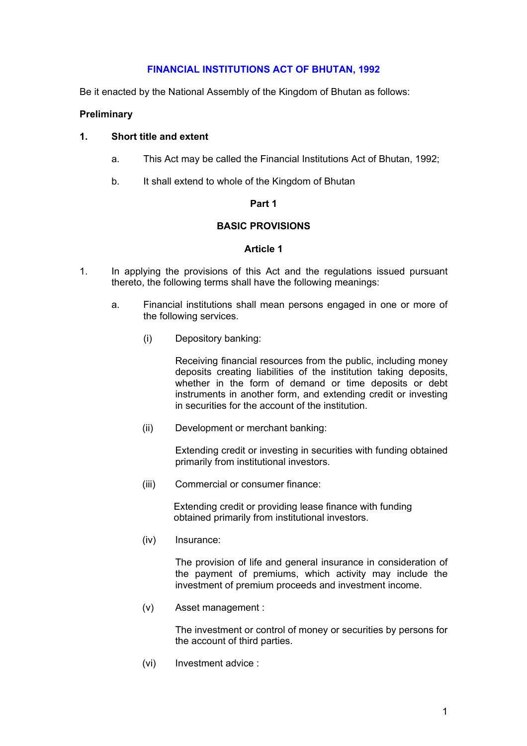# **FINANCIAL INSTITUTIONS ACT OF BHUTAN, 1992**

Be it enacted by the National Assembly of the Kingdom of Bhutan as follows:

### **Preliminary**

### **1. Short title and extent**

- a. This Act may be called the Financial Institutions Act of Bhutan, 1992;
- b. It shall extend to whole of the Kingdom of Bhutan

### **Part 1**

# **BASIC PROVISIONS**

### **Article 1**

- 1. In applying the provisions of this Act and the regulations issued pursuant thereto, the following terms shall have the following meanings:
	- a. Financial institutions shall mean persons engaged in one or more of the following services.
		- (i) Depository banking:

 Receiving financial resources from the public, including money deposits creating liabilities of the institution taking deposits, whether in the form of demand or time deposits or debt instruments in another form, and extending credit or investing in securities for the account of the institution.

(ii) Development or merchant banking:

 Extending credit or investing in securities with funding obtained primarily from institutional investors.

(iii) Commercial or consumer finance:

 Extending credit or providing lease finance with funding obtained primarily from institutional investors.

(iv) Insurance:

 The provision of life and general insurance in consideration of the payment of premiums, which activity may include the investment of premium proceeds and investment income.

(v) Asset management :

 The investment or control of money or securities by persons for the account of third parties.

(vi) Investment advice :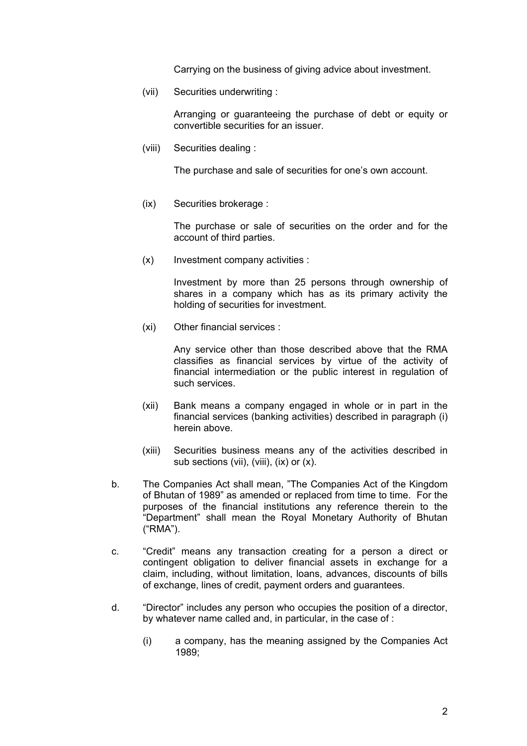Carrying on the business of giving advice about investment.

(vii) Securities underwriting :

 Arranging or guaranteeing the purchase of debt or equity or convertible securities for an issuer.

(viii) Securities dealing :

The purchase and sale of securities for one's own account.

(ix) Securities brokerage :

 The purchase or sale of securities on the order and for the account of third parties.

(x) Investment company activities :

 Investment by more than 25 persons through ownership of shares in a company which has as its primary activity the holding of securities for investment.

(xi) Other financial services :

 Any service other than those described above that the RMA classifies as financial services by virtue of the activity of financial intermediation or the public interest in regulation of such services.

- (xii) Bank means a company engaged in whole or in part in the financial services (banking activities) described in paragraph (i) herein above.
- (xiii) Securities business means any of the activities described in sub sections (vii), (viii), (ix) or (x).
- b. The Companies Act shall mean, "The Companies Act of the Kingdom of Bhutan of 1989" as amended or replaced from time to time. For the purposes of the financial institutions any reference therein to the "Department" shall mean the Royal Monetary Authority of Bhutan ("RMA").
- c. "Credit" means any transaction creating for a person a direct or contingent obligation to deliver financial assets in exchange for a claim, including, without limitation, loans, advances, discounts of bills of exchange, lines of credit, payment orders and guarantees.
- d. "Director" includes any person who occupies the position of a director, by whatever name called and, in particular, in the case of :
	- (i) a company, has the meaning assigned by the Companies Act 1989;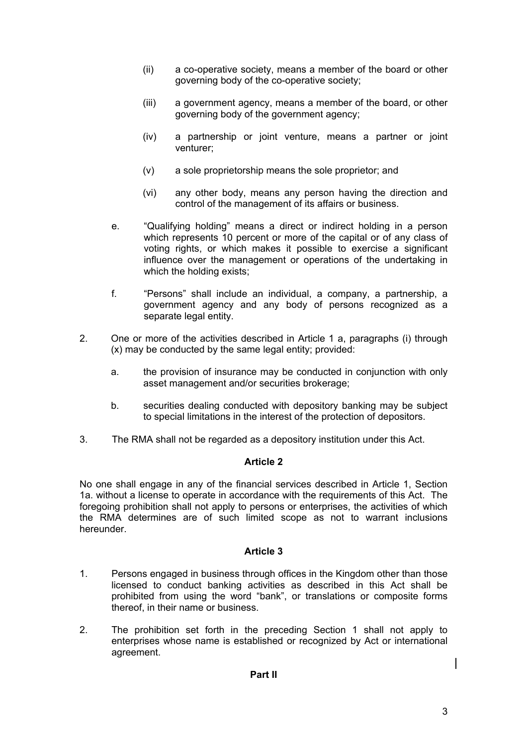- (ii) a co-operative society, means a member of the board or other governing body of the co-operative society;
- (iii) a government agency, means a member of the board, or other governing body of the government agency;
- (iv) a partnership or joint venture, means a partner or joint venturer;
- (v) a sole proprietorship means the sole proprietor; and
- (vi) any other body, means any person having the direction and control of the management of its affairs or business.
- e. "Qualifying holding" means a direct or indirect holding in a person which represents 10 percent or more of the capital or of any class of voting rights, or which makes it possible to exercise a significant influence over the management or operations of the undertaking in which the holding exists;
- f. "Persons" shall include an individual, a company, a partnership, a government agency and any body of persons recognized as a separate legal entity.
- 2. One or more of the activities described in Article 1 a, paragraphs (i) through (x) may be conducted by the same legal entity; provided:
	- a. the provision of insurance may be conducted in conjunction with only asset management and/or securities brokerage;
	- b. securities dealing conducted with depository banking may be subject to special limitations in the interest of the protection of depositors.
- 3. The RMA shall not be regarded as a depository institution under this Act.

No one shall engage in any of the financial services described in Article 1, Section 1a. without a license to operate in accordance with the requirements of this Act. The foregoing prohibition shall not apply to persons or enterprises, the activities of which the RMA determines are of such limited scope as not to warrant inclusions hereunder.

- 1. Persons engaged in business through offices in the Kingdom other than those licensed to conduct banking activities as described in this Act shall be prohibited from using the word "bank", or translations or composite forms thereof, in their name or business.
- 2. The prohibition set forth in the preceding Section 1 shall not apply to enterprises whose name is established or recognized by Act or international agreement.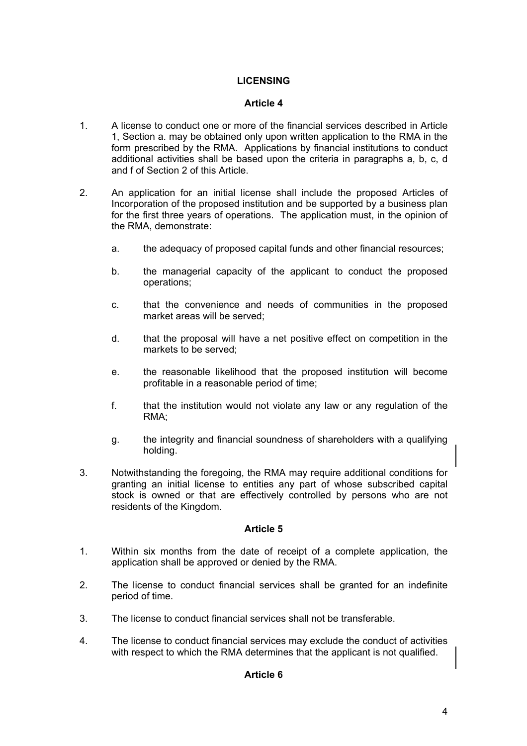# **LICENSING**

# **Article 4**

- 1. A license to conduct one or more of the financial services described in Article 1, Section a. may be obtained only upon written application to the RMA in the form prescribed by the RMA. Applications by financial institutions to conduct additional activities shall be based upon the criteria in paragraphs a, b, c, d and f of Section 2 of this Article.
- 2. An application for an initial license shall include the proposed Articles of Incorporation of the proposed institution and be supported by a business plan for the first three years of operations. The application must, in the opinion of the RMA, demonstrate:
	- a. the adequacy of proposed capital funds and other financial resources;
	- b. the managerial capacity of the applicant to conduct the proposed operations;
	- c. that the convenience and needs of communities in the proposed market areas will be served;
	- d. that the proposal will have a net positive effect on competition in the markets to be served;
	- e. the reasonable likelihood that the proposed institution will become profitable in a reasonable period of time;
	- f. that the institution would not violate any law or any regulation of the RMA;
	- g. the integrity and financial soundness of shareholders with a qualifying holding.
- 3. Notwithstanding the foregoing, the RMA may require additional conditions for granting an initial license to entities any part of whose subscribed capital stock is owned or that are effectively controlled by persons who are not residents of the Kingdom.

- 1. Within six months from the date of receipt of a complete application, the application shall be approved or denied by the RMA.
- 2. The license to conduct financial services shall be granted for an indefinite period of time.
- 3. The license to conduct financial services shall not be transferable.
- 4. The license to conduct financial services may exclude the conduct of activities with respect to which the RMA determines that the applicant is not qualified.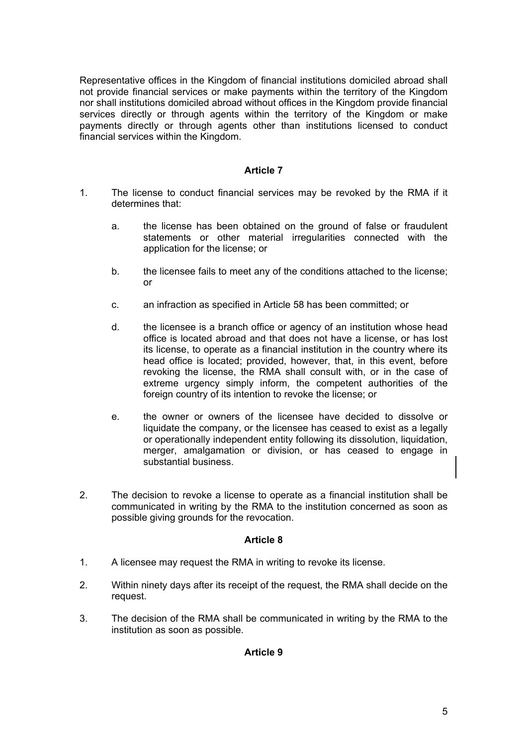Representative offices in the Kingdom of financial institutions domiciled abroad shall not provide financial services or make payments within the territory of the Kingdom nor shall institutions domiciled abroad without offices in the Kingdom provide financial services directly or through agents within the territory of the Kingdom or make payments directly or through agents other than institutions licensed to conduct financial services within the Kingdom.

### **Article 7**

- 1. The license to conduct financial services may be revoked by the RMA if it determines that:
	- a. the license has been obtained on the ground of false or fraudulent statements or other material irregularities connected with the application for the license; or
	- b. the licensee fails to meet any of the conditions attached to the license; or
	- c. an infraction as specified in Article 58 has been committed; or
	- d. the licensee is a branch office or agency of an institution whose head office is located abroad and that does not have a license, or has lost its license, to operate as a financial institution in the country where its head office is located; provided, however, that, in this event, before revoking the license, the RMA shall consult with, or in the case of extreme urgency simply inform, the competent authorities of the foreign country of its intention to revoke the license; or
	- e. the owner or owners of the licensee have decided to dissolve or liquidate the company, or the licensee has ceased to exist as a legally or operationally independent entity following its dissolution, liquidation, merger, amalgamation or division, or has ceased to engage in substantial business.
- 2. The decision to revoke a license to operate as a financial institution shall be communicated in writing by the RMA to the institution concerned as soon as possible giving grounds for the revocation.

# **Article 8**

- 1. A licensee may request the RMA in writing to revoke its license.
- 2. Within ninety days after its receipt of the request, the RMA shall decide on the request.
- 3. The decision of the RMA shall be communicated in writing by the RMA to the institution as soon as possible.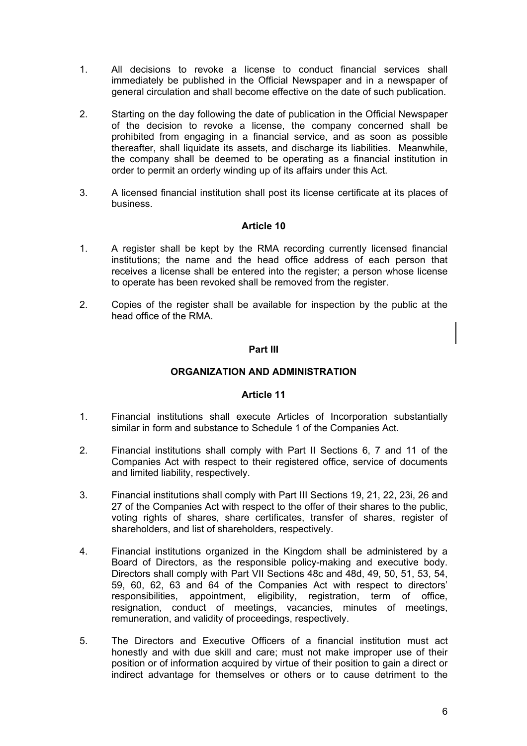- 1. All decisions to revoke a license to conduct financial services shall immediately be published in the Official Newspaper and in a newspaper of general circulation and shall become effective on the date of such publication.
- 2. Starting on the day following the date of publication in the Official Newspaper of the decision to revoke a license, the company concerned shall be prohibited from engaging in a financial service, and as soon as possible thereafter, shall liquidate its assets, and discharge its liabilities. Meanwhile, the company shall be deemed to be operating as a financial institution in order to permit an orderly winding up of its affairs under this Act.
- 3. A licensed financial institution shall post its license certificate at its places of business.

- 1. A register shall be kept by the RMA recording currently licensed financial institutions; the name and the head office address of each person that receives a license shall be entered into the register; a person whose license to operate has been revoked shall be removed from the register.
- 2. Copies of the register shall be available for inspection by the public at the head office of the RMA.

# **Part III**

### **ORGANIZATION AND ADMINISTRATION**

- 1. Financial institutions shall execute Articles of Incorporation substantially similar in form and substance to Schedule 1 of the Companies Act.
- 2. Financial institutions shall comply with Part II Sections 6, 7 and 11 of the Companies Act with respect to their registered office, service of documents and limited liability, respectively.
- 3. Financial institutions shall comply with Part III Sections 19, 21, 22, 23i, 26 and 27 of the Companies Act with respect to the offer of their shares to the public, voting rights of shares, share certificates, transfer of shares, register of shareholders, and list of shareholders, respectively.
- 4. Financial institutions organized in the Kingdom shall be administered by a Board of Directors, as the responsible policy-making and executive body. Directors shall comply with Part VII Sections 48c and 48d, 49, 50, 51, 53, 54, 59, 60, 62, 63 and 64 of the Companies Act with respect to directors' responsibilities, appointment, eligibility, registration, term of office, resignation, conduct of meetings, vacancies, minutes of meetings, remuneration, and validity of proceedings, respectively.
- 5. The Directors and Executive Officers of a financial institution must act honestly and with due skill and care; must not make improper use of their position or of information acquired by virtue of their position to gain a direct or indirect advantage for themselves or others or to cause detriment to the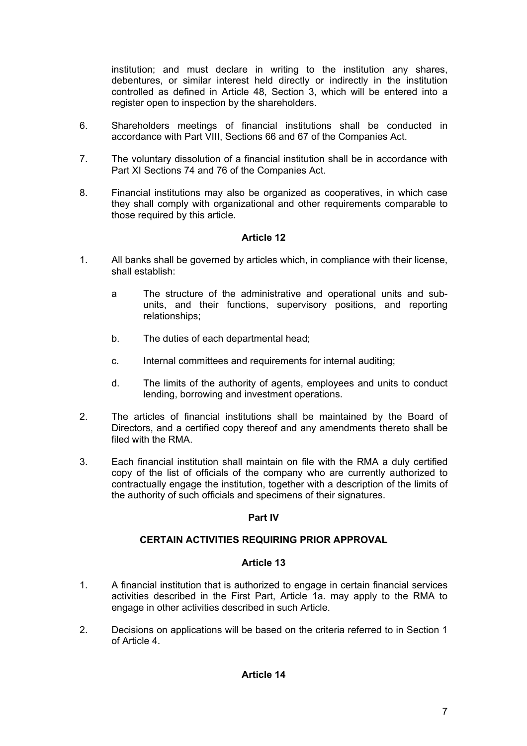institution; and must declare in writing to the institution any shares, debentures, or similar interest held directly or indirectly in the institution controlled as defined in Article 48, Section 3, which will be entered into a register open to inspection by the shareholders.

- 6. Shareholders meetings of financial institutions shall be conducted in accordance with Part VIII, Sections 66 and 67 of the Companies Act.
- 7. The voluntary dissolution of a financial institution shall be in accordance with Part XI Sections 74 and 76 of the Companies Act.
- 8. Financial institutions may also be organized as cooperatives, in which case they shall comply with organizational and other requirements comparable to those required by this article.

# **Article 12**

- 1. All banks shall be governed by articles which, in compliance with their license, shall establish:
	- a The structure of the administrative and operational units and subunits, and their functions, supervisory positions, and reporting relationships;
	- b. The duties of each departmental head;
	- c. Internal committees and requirements for internal auditing;
	- d. The limits of the authority of agents, employees and units to conduct lending, borrowing and investment operations.
- 2. The articles of financial institutions shall be maintained by the Board of Directors, and a certified copy thereof and any amendments thereto shall be filed with the RMA.
- 3. Each financial institution shall maintain on file with the RMA a duly certified copy of the list of officials of the company who are currently authorized to contractually engage the institution, together with a description of the limits of the authority of such officials and specimens of their signatures.

# **Part IV**

# **CERTAIN ACTIVITIES REQUIRING PRIOR APPROVAL**

- 1. A financial institution that is authorized to engage in certain financial services activities described in the First Part, Article 1a. may apply to the RMA to engage in other activities described in such Article.
- 2. Decisions on applications will be based on the criteria referred to in Section 1 of Article 4.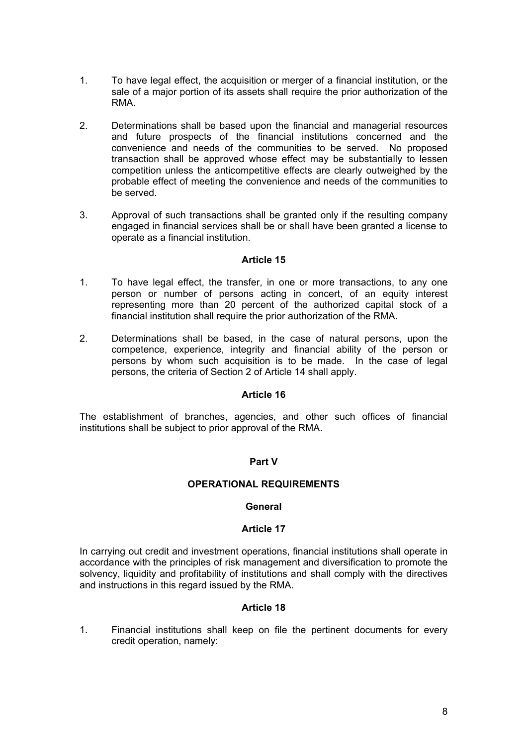- 1. To have legal effect, the acquisition or merger of a financial institution, or the sale of a major portion of its assets shall require the prior authorization of the RMA.
- 2. Determinations shall be based upon the financial and managerial resources and future prospects of the financial institutions concerned and the convenience and needs of the communities to be served. No proposed transaction shall be approved whose effect may be substantially to lessen competition unless the anticompetitive effects are clearly outweighed by the probable effect of meeting the convenience and needs of the communities to be served.
- 3. Approval of such transactions shall be granted only if the resulting company engaged in financial services shall be or shall have been granted a license to operate as a financial institution.

- 1. To have legal effect, the transfer, in one or more transactions, to any one person or number of persons acting in concert, of an equity interest representing more than 20 percent of the authorized capital stock of a financial institution shall require the prior authorization of the RMA.
- 2. Determinations shall be based, in the case of natural persons, upon the competence, experience, integrity and financial ability of the person or persons by whom such acquisition is to be made. In the case of legal persons, the criteria of Section 2 of Article 14 shall apply.

# **Article 16**

The establishment of branches, agencies, and other such offices of financial institutions shall be subject to prior approval of the RMA.

# **Part V**

# **OPERATIONAL REQUIREMENTS**

#### **General**

#### **Article 17**

In carrying out credit and investment operations, financial institutions shall operate in accordance with the principles of risk management and diversification to promote the solvency, liquidity and profitability of institutions and shall comply with the directives and instructions in this regard issued by the RMA.

# **Article 18**

1. Financial institutions shall keep on file the pertinent documents for every credit operation, namely: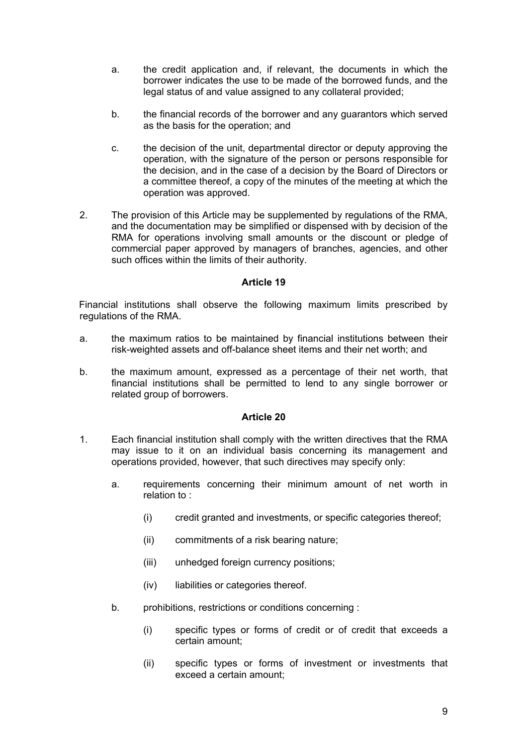- a. the credit application and, if relevant, the documents in which the borrower indicates the use to be made of the borrowed funds, and the legal status of and value assigned to any collateral provided;
- b. the financial records of the borrower and any guarantors which served as the basis for the operation; and
- c. the decision of the unit, departmental director or deputy approving the operation, with the signature of the person or persons responsible for the decision, and in the case of a decision by the Board of Directors or a committee thereof, a copy of the minutes of the meeting at which the operation was approved.
- 2. The provision of this Article may be supplemented by regulations of the RMA, and the documentation may be simplified or dispensed with by decision of the RMA for operations involving small amounts or the discount or pledge of commercial paper approved by managers of branches, agencies, and other such offices within the limits of their authority.

Financial institutions shall observe the following maximum limits prescribed by regulations of the RMA.

- a. the maximum ratios to be maintained by financial institutions between their risk-weighted assets and off-balance sheet items and their net worth; and
- b. the maximum amount, expressed as a percentage of their net worth, that financial institutions shall be permitted to lend to any single borrower or related group of borrowers.

- 1. Each financial institution shall comply with the written directives that the RMA may issue to it on an individual basis concerning its management and operations provided, however, that such directives may specify only:
	- a. requirements concerning their minimum amount of net worth in relation to :
		- (i) credit granted and investments, or specific categories thereof;
		- (ii) commitments of a risk bearing nature;
		- (iii) unhedged foreign currency positions;
		- (iv) liabilities or categories thereof.
	- b. prohibitions, restrictions or conditions concerning :
		- (i) specific types or forms of credit or of credit that exceeds a certain amount;
		- (ii) specific types or forms of investment or investments that exceed a certain amount;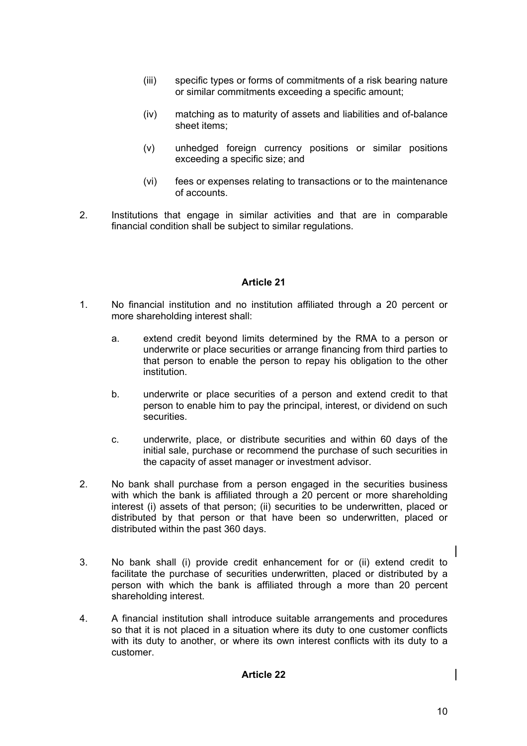- (iii) specific types or forms of commitments of a risk bearing nature or similar commitments exceeding a specific amount;
- (iv) matching as to maturity of assets and liabilities and of-balance sheet items;
- (v) unhedged foreign currency positions or similar positions exceeding a specific size; and
- (vi) fees or expenses relating to transactions or to the maintenance of accounts.
- 2. Institutions that engage in similar activities and that are in comparable financial condition shall be subject to similar regulations.

- 1. No financial institution and no institution affiliated through a 20 percent or more shareholding interest shall:
	- a. extend credit beyond limits determined by the RMA to a person or underwrite or place securities or arrange financing from third parties to that person to enable the person to repay his obligation to the other institution.
	- b. underwrite or place securities of a person and extend credit to that person to enable him to pay the principal, interest, or dividend on such securities.
	- c. underwrite, place, or distribute securities and within 60 days of the initial sale, purchase or recommend the purchase of such securities in the capacity of asset manager or investment advisor.
- 2. No bank shall purchase from a person engaged in the securities business with which the bank is affiliated through a 20 percent or more shareholding interest (i) assets of that person; (ii) securities to be underwritten, placed or distributed by that person or that have been so underwritten, placed or distributed within the past 360 days.
- 3. No bank shall (i) provide credit enhancement for or (ii) extend credit to facilitate the purchase of securities underwritten, placed or distributed by a person with which the bank is affiliated through a more than 20 percent shareholding interest.
- 4. A financial institution shall introduce suitable arrangements and procedures so that it is not placed in a situation where its duty to one customer conflicts with its duty to another, or where its own interest conflicts with its duty to a customer.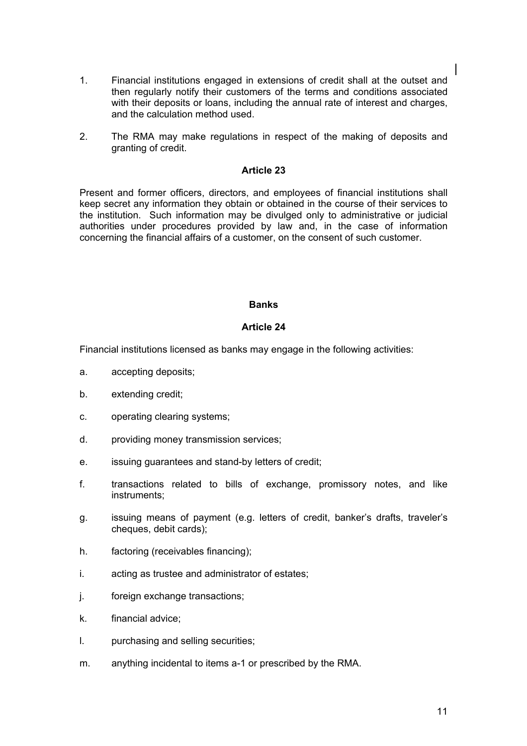- 1. Financial institutions engaged in extensions of credit shall at the outset and then regularly notify their customers of the terms and conditions associated with their deposits or loans, including the annual rate of interest and charges, and the calculation method used.
- 2. The RMA may make regulations in respect of the making of deposits and granting of credit.

Present and former officers, directors, and employees of financial institutions shall keep secret any information they obtain or obtained in the course of their services to the institution. Such information may be divulged only to administrative or judicial authorities under procedures provided by law and, in the case of information concerning the financial affairs of a customer, on the consent of such customer.

### **Banks**

# **Article 24**

Financial institutions licensed as banks may engage in the following activities:

- a. accepting deposits;
- b. extending credit;
- c. operating clearing systems;
- d. providing money transmission services;
- e. issuing guarantees and stand-by letters of credit;
- f. transactions related to bills of exchange, promissory notes, and like instruments;
- g. issuing means of payment (e.g. letters of credit, banker's drafts, traveler's cheques, debit cards);
- h. factoring (receivables financing);
- i. acting as trustee and administrator of estates;
- j. foreign exchange transactions;
- k. financial advice;
- l. purchasing and selling securities;
- m. anything incidental to items a-1 or prescribed by the RMA.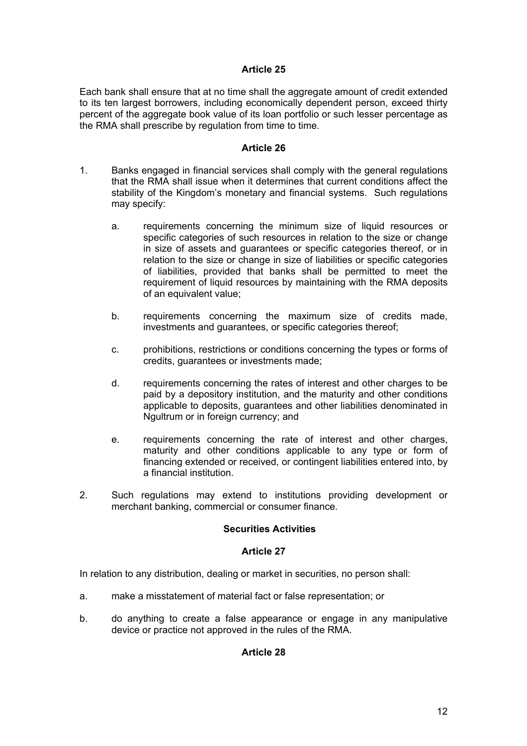Each bank shall ensure that at no time shall the aggregate amount of credit extended to its ten largest borrowers, including economically dependent person, exceed thirty percent of the aggregate book value of its loan portfolio or such lesser percentage as the RMA shall prescribe by regulation from time to time.

### **Article 26**

- 1. Banks engaged in financial services shall comply with the general regulations that the RMA shall issue when it determines that current conditions affect the stability of the Kingdom's monetary and financial systems. Such regulations may specify:
	- a. requirements concerning the minimum size of liquid resources or specific categories of such resources in relation to the size or change in size of assets and guarantees or specific categories thereof, or in relation to the size or change in size of liabilities or specific categories of liabilities, provided that banks shall be permitted to meet the requirement of liquid resources by maintaining with the RMA deposits of an equivalent value;
	- b. requirements concerning the maximum size of credits made, investments and guarantees, or specific categories thereof;
	- c. prohibitions, restrictions or conditions concerning the types or forms of credits, guarantees or investments made;
	- d. requirements concerning the rates of interest and other charges to be paid by a depository institution, and the maturity and other conditions applicable to deposits, guarantees and other liabilities denominated in Ngultrum or in foreign currency; and
	- e. requirements concerning the rate of interest and other charges, maturity and other conditions applicable to any type or form of financing extended or received, or contingent liabilities entered into, by a financial institution.
- 2. Such regulations may extend to institutions providing development or merchant banking, commercial or consumer finance.

# **Securities Activities**

#### **Article 27**

In relation to any distribution, dealing or market in securities, no person shall:

- a. make a misstatement of material fact or false representation; or
- b. do anything to create a false appearance or engage in any manipulative device or practice not approved in the rules of the RMA.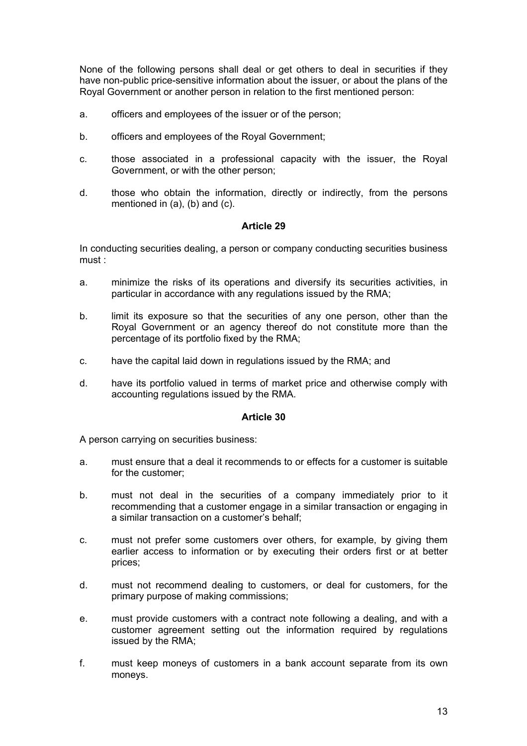None of the following persons shall deal or get others to deal in securities if they have non-public price-sensitive information about the issuer, or about the plans of the Royal Government or another person in relation to the first mentioned person:

- a. officers and employees of the issuer or of the person;
- b. officers and employees of the Royal Government;
- c. those associated in a professional capacity with the issuer, the Royal Government, or with the other person;
- d. those who obtain the information, directly or indirectly, from the persons mentioned in (a), (b) and (c).

### **Article 29**

In conducting securities dealing, a person or company conducting securities business must :

- a. minimize the risks of its operations and diversify its securities activities, in particular in accordance with any regulations issued by the RMA;
- b. limit its exposure so that the securities of any one person, other than the Royal Government or an agency thereof do not constitute more than the percentage of its portfolio fixed by the RMA;
- c. have the capital laid down in regulations issued by the RMA; and
- d. have its portfolio valued in terms of market price and otherwise comply with accounting regulations issued by the RMA.

#### **Article 30**

A person carrying on securities business:

- a. must ensure that a deal it recommends to or effects for a customer is suitable for the customer;
- b. must not deal in the securities of a company immediately prior to it recommending that a customer engage in a similar transaction or engaging in a similar transaction on a customer's behalf;
- c. must not prefer some customers over others, for example, by giving them earlier access to information or by executing their orders first or at better prices;
- d. must not recommend dealing to customers, or deal for customers, for the primary purpose of making commissions;
- e. must provide customers with a contract note following a dealing, and with a customer agreement setting out the information required by regulations issued by the RMA;
- f. must keep moneys of customers in a bank account separate from its own moneys.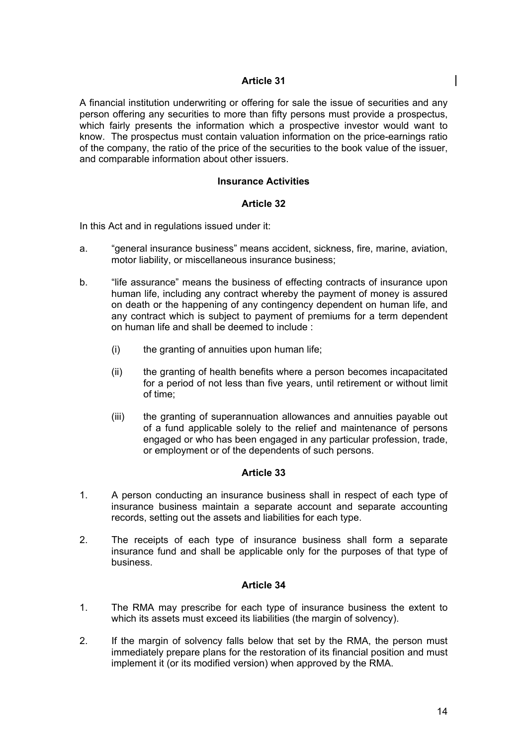A financial institution underwriting or offering for sale the issue of securities and any person offering any securities to more than fifty persons must provide a prospectus, which fairly presents the information which a prospective investor would want to know. The prospectus must contain valuation information on the price-earnings ratio of the company, the ratio of the price of the securities to the book value of the issuer, and comparable information about other issuers.

### **Insurance Activities**

### **Article 32**

In this Act and in regulations issued under it:

- a. "general insurance business" means accident, sickness, fire, marine, aviation, motor liability, or miscellaneous insurance business;
- b. "If the assurance" means the business of effecting contracts of insurance upon human life, including any contract whereby the payment of money is assured on death or the happening of any contingency dependent on human life, and any contract which is subject to payment of premiums for a term dependent on human life and shall be deemed to include :
	- (i) the granting of annuities upon human life;
	- (ii) the granting of health benefits where a person becomes incapacitated for a period of not less than five years, until retirement or without limit of time;
	- (iii) the granting of superannuation allowances and annuities payable out of a fund applicable solely to the relief and maintenance of persons engaged or who has been engaged in any particular profession, trade, or employment or of the dependents of such persons.

#### **Article 33**

- 1. A person conducting an insurance business shall in respect of each type of insurance business maintain a separate account and separate accounting records, setting out the assets and liabilities for each type.
- 2. The receipts of each type of insurance business shall form a separate insurance fund and shall be applicable only for the purposes of that type of business.

- 1. The RMA may prescribe for each type of insurance business the extent to which its assets must exceed its liabilities (the margin of solvency).
- 2. If the margin of solvency falls below that set by the RMA, the person must immediately prepare plans for the restoration of its financial position and must implement it (or its modified version) when approved by the RMA.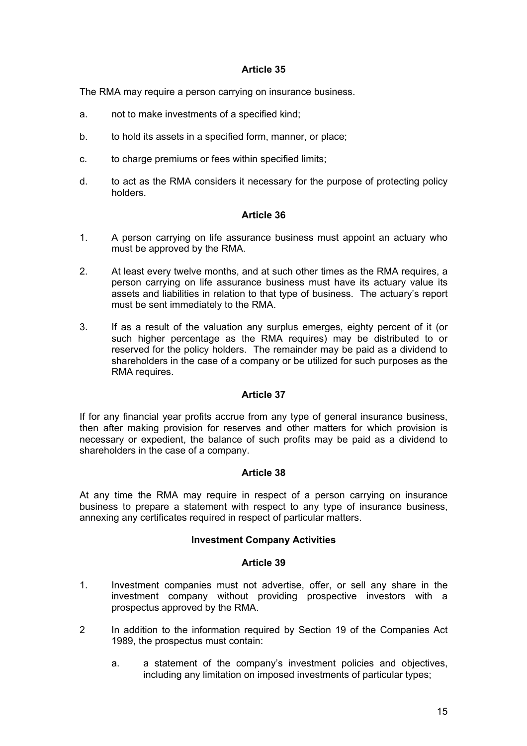The RMA may require a person carrying on insurance business.

- a. not to make investments of a specified kind;
- b. to hold its assets in a specified form, manner, or place;
- c. to charge premiums or fees within specified limits;
- d. to act as the RMA considers it necessary for the purpose of protecting policy holders.

# **Article 36**

- 1. A person carrying on life assurance business must appoint an actuary who must be approved by the RMA.
- 2. At least every twelve months, and at such other times as the RMA requires, a person carrying on life assurance business must have its actuary value its assets and liabilities in relation to that type of business. The actuary's report must be sent immediately to the RMA.
- 3. If as a result of the valuation any surplus emerges, eighty percent of it (or such higher percentage as the RMA requires) may be distributed to or reserved for the policy holders. The remainder may be paid as a dividend to shareholders in the case of a company or be utilized for such purposes as the RMA requires.

#### **Article 37**

If for any financial year profits accrue from any type of general insurance business, then after making provision for reserves and other matters for which provision is necessary or expedient, the balance of such profits may be paid as a dividend to shareholders in the case of a company.

# **Article 38**

At any time the RMA may require in respect of a person carrying on insurance business to prepare a statement with respect to any type of insurance business, annexing any certificates required in respect of particular matters.

#### **Investment Company Activities**

- 1. Investment companies must not advertise, offer, or sell any share in the investment company without providing prospective investors with a prospectus approved by the RMA.
- 2 In addition to the information required by Section 19 of the Companies Act 1989, the prospectus must contain:
	- a. a statement of the company's investment policies and objectives, including any limitation on imposed investments of particular types;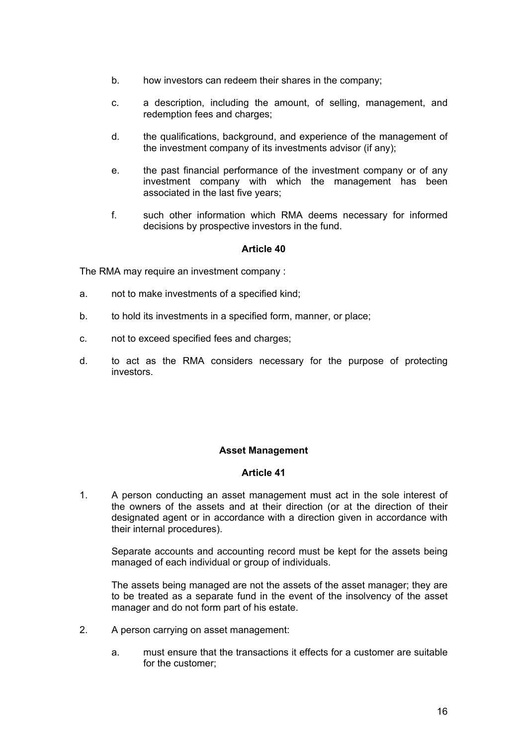- b. how investors can redeem their shares in the company;
- c. a description, including the amount, of selling, management, and redemption fees and charges:
- d. the qualifications, background, and experience of the management of the investment company of its investments advisor (if any);
- e. the past financial performance of the investment company or of any investment company with which the management has been associated in the last five years;
- f. such other information which RMA deems necessary for informed decisions by prospective investors in the fund.

The RMA may require an investment company :

- a. not to make investments of a specified kind;
- b. to hold its investments in a specified form, manner, or place;
- c. not to exceed specified fees and charges;
- d. to act as the RMA considers necessary for the purpose of protecting investors.

# **Asset Management**

#### **Article 41**

1. A person conducting an asset management must act in the sole interest of the owners of the assets and at their direction (or at the direction of their designated agent or in accordance with a direction given in accordance with their internal procedures).

 Separate accounts and accounting record must be kept for the assets being managed of each individual or group of individuals.

 The assets being managed are not the assets of the asset manager; they are to be treated as a separate fund in the event of the insolvency of the asset manager and do not form part of his estate.

- 2. A person carrying on asset management:
	- a. must ensure that the transactions it effects for a customer are suitable for the customer;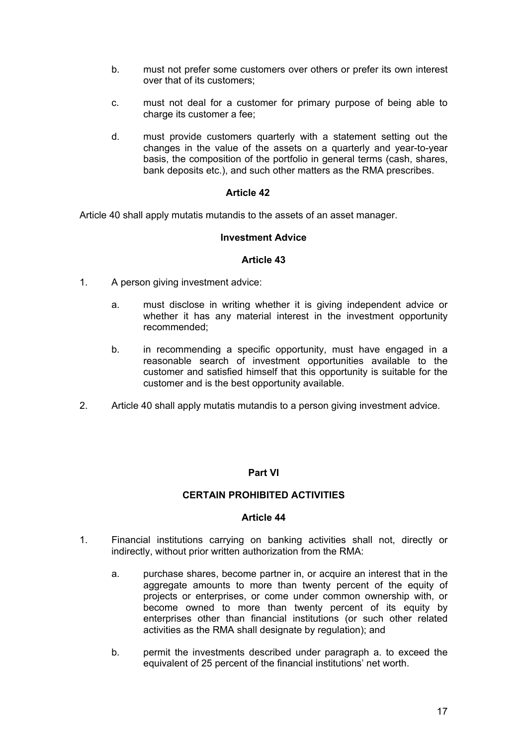- b. must not prefer some customers over others or prefer its own interest over that of its customers;
- c. must not deal for a customer for primary purpose of being able to charge its customer a fee;
- d. must provide customers quarterly with a statement setting out the changes in the value of the assets on a quarterly and year-to-year basis, the composition of the portfolio in general terms (cash, shares, bank deposits etc.), and such other matters as the RMA prescribes.

Article 40 shall apply mutatis mutandis to the assets of an asset manager.

### **Investment Advice**

#### **Article 43**

- 1. A person giving investment advice:
	- a. must disclose in writing whether it is giving independent advice or whether it has any material interest in the investment opportunity recommended;
	- b. in recommending a specific opportunity, must have engaged in a reasonable search of investment opportunities available to the customer and satisfied himself that this opportunity is suitable for the customer and is the best opportunity available.
- 2. Article 40 shall apply mutatis mutandis to a person giving investment advice.

# **Part VI**

#### **CERTAIN PROHIBITED ACTIVITIES**

- 1. Financial institutions carrying on banking activities shall not, directly or indirectly, without prior written authorization from the RMA:
	- a. purchase shares, become partner in, or acquire an interest that in the aggregate amounts to more than twenty percent of the equity of projects or enterprises, or come under common ownership with, or become owned to more than twenty percent of its equity by enterprises other than financial institutions (or such other related activities as the RMA shall designate by regulation); and
	- b. permit the investments described under paragraph a. to exceed the equivalent of 25 percent of the financial institutions' net worth.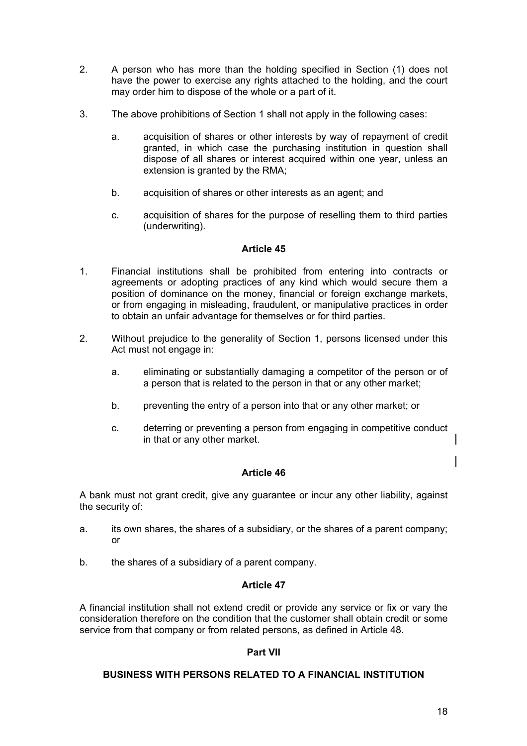- 2. A person who has more than the holding specified in Section (1) does not have the power to exercise any rights attached to the holding, and the court may order him to dispose of the whole or a part of it.
- 3. The above prohibitions of Section 1 shall not apply in the following cases:
	- a. acquisition of shares or other interests by way of repayment of credit granted, in which case the purchasing institution in question shall dispose of all shares or interest acquired within one year, unless an extension is granted by the RMA;
	- b. acquisition of shares or other interests as an agent; and
	- c. acquisition of shares for the purpose of reselling them to third parties (underwriting).

- 1. Financial institutions shall be prohibited from entering into contracts or agreements or adopting practices of any kind which would secure them a position of dominance on the money, financial or foreign exchange markets, or from engaging in misleading, fraudulent, or manipulative practices in order to obtain an unfair advantage for themselves or for third parties.
- 2. Without prejudice to the generality of Section 1, persons licensed under this Act must not engage in:
	- a. eliminating or substantially damaging a competitor of the person or of a person that is related to the person in that or any other market;
	- b. preventing the entry of a person into that or any other market; or
	- c. deterring or preventing a person from engaging in competitive conduct in that or any other market.

# **Article 46**

A bank must not grant credit, give any guarantee or incur any other liability, against the security of:

- a. its own shares, the shares of a subsidiary, or the shares of a parent company; or
- b. the shares of a subsidiary of a parent company.

# **Article 47**

A financial institution shall not extend credit or provide any service or fix or vary the consideration therefore on the condition that the customer shall obtain credit or some service from that company or from related persons, as defined in Article 48.

# **Part VII**

# **BUSINESS WITH PERSONS RELATED TO A FINANCIAL INSTITUTION**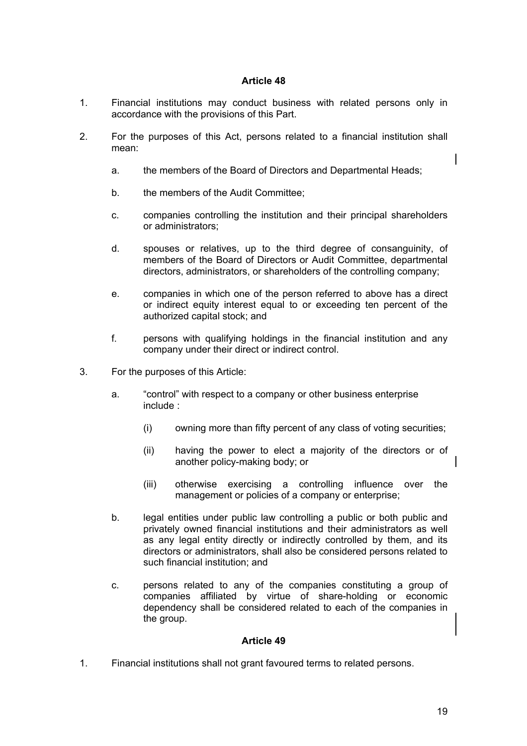- 1. Financial institutions may conduct business with related persons only in accordance with the provisions of this Part.
- 2. For the purposes of this Act, persons related to a financial institution shall mean:
	- a. the members of the Board of Directors and Departmental Heads;
	- b. the members of the Audit Committee;
	- c. companies controlling the institution and their principal shareholders or administrators;
	- d. spouses or relatives, up to the third degree of consanguinity, of members of the Board of Directors or Audit Committee, departmental directors, administrators, or shareholders of the controlling company;
	- e. companies in which one of the person referred to above has a direct or indirect equity interest equal to or exceeding ten percent of the authorized capital stock; and
	- f. persons with qualifying holdings in the financial institution and any company under their direct or indirect control.
- 3. For the purposes of this Article:
	- a. "control" with respect to a company or other business enterprise include :
		- (i) owning more than fifty percent of any class of voting securities;
		- (ii) having the power to elect a majority of the directors or of another policy-making body; or
		- (iii) otherwise exercising a controlling influence over the management or policies of a company or enterprise;
	- b. legal entities under public law controlling a public or both public and privately owned financial institutions and their administrators as well as any legal entity directly or indirectly controlled by them, and its directors or administrators, shall also be considered persons related to such financial institution; and
	- c. persons related to any of the companies constituting a group of companies affiliated by virtue of share-holding or economic dependency shall be considered related to each of the companies in the group.

### **Article 49**

1. Financial institutions shall not grant favoured terms to related persons.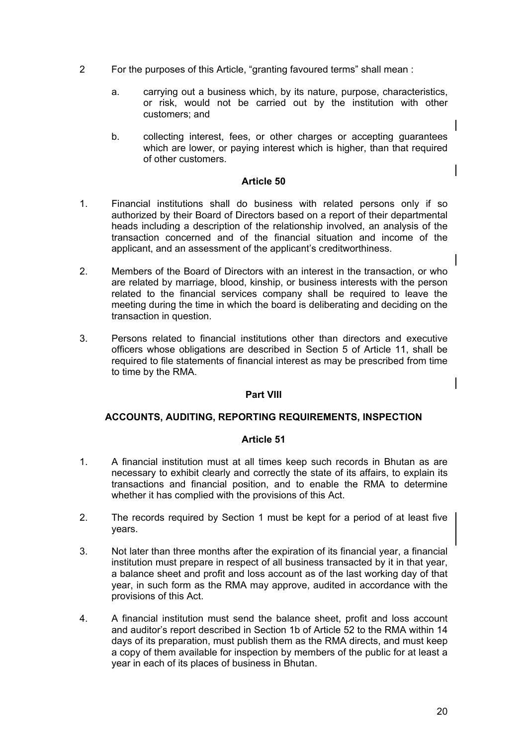- 2 For the purposes of this Article, "granting favoured terms" shall mean :
	- a. carrying out a business which, by its nature, purpose, characteristics, or risk, would not be carried out by the institution with other customers; and
	- b. collecting interest, fees, or other charges or accepting guarantees which are lower, or paying interest which is higher, than that required of other customers.

- 1. Financial institutions shall do business with related persons only if so authorized by their Board of Directors based on a report of their departmental heads including a description of the relationship involved, an analysis of the transaction concerned and of the financial situation and income of the applicant, and an assessment of the applicant's creditworthiness.
- 2. Members of the Board of Directors with an interest in the transaction, or who are related by marriage, blood, kinship, or business interests with the person related to the financial services company shall be required to leave the meeting during the time in which the board is deliberating and deciding on the transaction in question.
- 3. Persons related to financial institutions other than directors and executive officers whose obligations are described in Section 5 of Article 11, shall be required to file statements of financial interest as may be prescribed from time to time by the RMA.

# **Part VIII**

# **ACCOUNTS, AUDITING, REPORTING REQUIREMENTS, INSPECTION**

- 1. A financial institution must at all times keep such records in Bhutan as are necessary to exhibit clearly and correctly the state of its affairs, to explain its transactions and financial position, and to enable the RMA to determine whether it has complied with the provisions of this Act.
- 2. The records required by Section 1 must be kept for a period of at least five years.
- 3. Not later than three months after the expiration of its financial year, a financial institution must prepare in respect of all business transacted by it in that year, a balance sheet and profit and loss account as of the last working day of that year, in such form as the RMA may approve, audited in accordance with the provisions of this Act.
- 4. A financial institution must send the balance sheet, profit and loss account and auditor's report described in Section 1b of Article 52 to the RMA within 14 days of its preparation, must publish them as the RMA directs, and must keep a copy of them available for inspection by members of the public for at least a year in each of its places of business in Bhutan.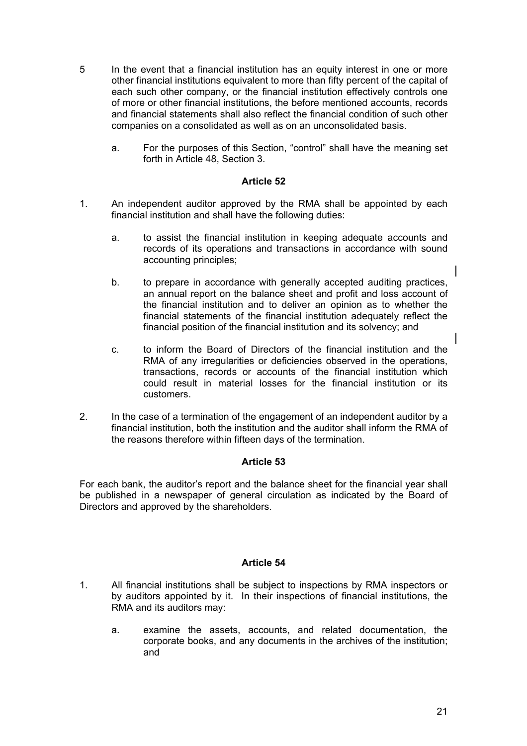- 5 In the event that a financial institution has an equity interest in one or more other financial institutions equivalent to more than fifty percent of the capital of each such other company, or the financial institution effectively controls one of more or other financial institutions, the before mentioned accounts, records and financial statements shall also reflect the financial condition of such other companies on a consolidated as well as on an unconsolidated basis.
	- a. For the purposes of this Section, "control" shall have the meaning set forth in Article 48, Section 3.

- 1. An independent auditor approved by the RMA shall be appointed by each financial institution and shall have the following duties:
	- a. to assist the financial institution in keeping adequate accounts and records of its operations and transactions in accordance with sound accounting principles;
	- b. to prepare in accordance with generally accepted auditing practices, an annual report on the balance sheet and profit and loss account of the financial institution and to deliver an opinion as to whether the financial statements of the financial institution adequately reflect the financial position of the financial institution and its solvency; and
	- c. to inform the Board of Directors of the financial institution and the RMA of any irregularities or deficiencies observed in the operations, transactions, records or accounts of the financial institution which could result in material losses for the financial institution or its customers.
- 2. In the case of a termination of the engagement of an independent auditor by a financial institution, both the institution and the auditor shall inform the RMA of the reasons therefore within fifteen days of the termination.

# **Article 53**

For each bank, the auditor's report and the balance sheet for the financial year shall be published in a newspaper of general circulation as indicated by the Board of Directors and approved by the shareholders.

- 1. All financial institutions shall be subject to inspections by RMA inspectors or by auditors appointed by it. In their inspections of financial institutions, the RMA and its auditors may:
	- a. examine the assets, accounts, and related documentation, the corporate books, and any documents in the archives of the institution; and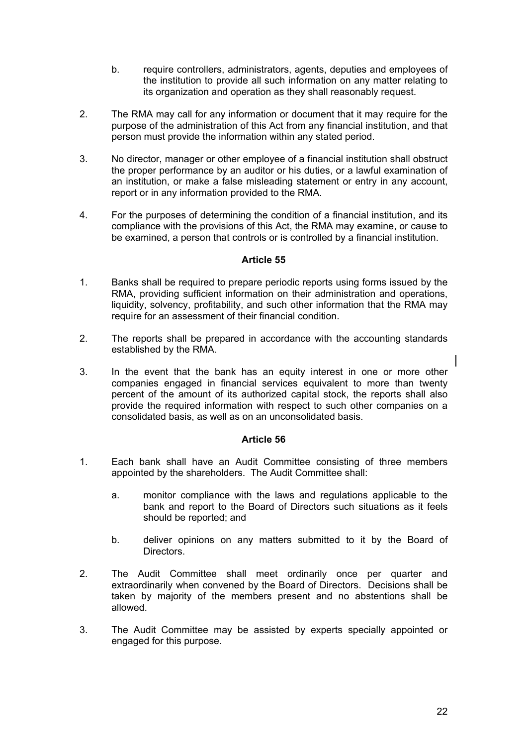- b. require controllers, administrators, agents, deputies and employees of the institution to provide all such information on any matter relating to its organization and operation as they shall reasonably request.
- 2. The RMA may call for any information or document that it may require for the purpose of the administration of this Act from any financial institution, and that person must provide the information within any stated period.
- 3. No director, manager or other employee of a financial institution shall obstruct the proper performance by an auditor or his duties, or a lawful examination of an institution, or make a false misleading statement or entry in any account, report or in any information provided to the RMA.
- 4. For the purposes of determining the condition of a financial institution, and its compliance with the provisions of this Act, the RMA may examine, or cause to be examined, a person that controls or is controlled by a financial institution.

- 1. Banks shall be required to prepare periodic reports using forms issued by the RMA, providing sufficient information on their administration and operations, liquidity, solvency, profitability, and such other information that the RMA may require for an assessment of their financial condition.
- 2. The reports shall be prepared in accordance with the accounting standards established by the RMA.
- 3. In the event that the bank has an equity interest in one or more other companies engaged in financial services equivalent to more than twenty percent of the amount of its authorized capital stock, the reports shall also provide the required information with respect to such other companies on a consolidated basis, as well as on an unconsolidated basis.

- 1. Each bank shall have an Audit Committee consisting of three members appointed by the shareholders. The Audit Committee shall:
	- a. monitor compliance with the laws and regulations applicable to the bank and report to the Board of Directors such situations as it feels should be reported; and
	- b. deliver opinions on any matters submitted to it by the Board of Directors.
- 2. The Audit Committee shall meet ordinarily once per quarter and extraordinarily when convened by the Board of Directors. Decisions shall be taken by majority of the members present and no abstentions shall be allowed.
- 3. The Audit Committee may be assisted by experts specially appointed or engaged for this purpose.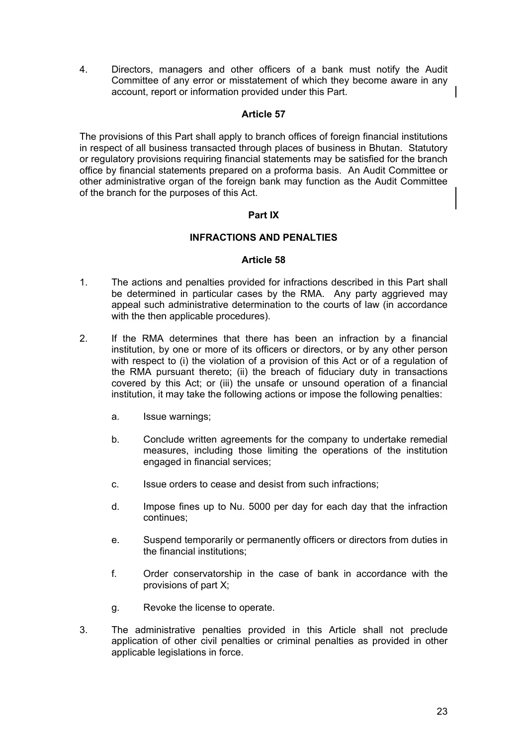4. Directors, managers and other officers of a bank must notify the Audit Committee of any error or misstatement of which they become aware in any account, report or information provided under this Part.

# **Article 57**

The provisions of this Part shall apply to branch offices of foreign financial institutions in respect of all business transacted through places of business in Bhutan. Statutory or regulatory provisions requiring financial statements may be satisfied for the branch office by financial statements prepared on a proforma basis. An Audit Committee or other administrative organ of the foreign bank may function as the Audit Committee of the branch for the purposes of this Act.

# **Part IX**

# **INFRACTIONS AND PENALTIES**

- 1. The actions and penalties provided for infractions described in this Part shall be determined in particular cases by the RMA. Any party aggrieved may appeal such administrative determination to the courts of law (in accordance with the then applicable procedures).
- 2. If the RMA determines that there has been an infraction by a financial institution, by one or more of its officers or directors, or by any other person with respect to (i) the violation of a provision of this Act or of a regulation of the RMA pursuant thereto; (ii) the breach of fiduciary duty in transactions covered by this Act; or (iii) the unsafe or unsound operation of a financial institution, it may take the following actions or impose the following penalties:
	- a. Issue warnings;
	- b. Conclude written agreements for the company to undertake remedial measures, including those limiting the operations of the institution engaged in financial services;
	- c. Issue orders to cease and desist from such infractions;
	- d. Impose fines up to Nu. 5000 per day for each day that the infraction continues;
	- e. Suspend temporarily or permanently officers or directors from duties in the financial institutions;
	- f. Order conservatorship in the case of bank in accordance with the provisions of part X;
	- g. Revoke the license to operate.
- 3. The administrative penalties provided in this Article shall not preclude application of other civil penalties or criminal penalties as provided in other applicable legislations in force.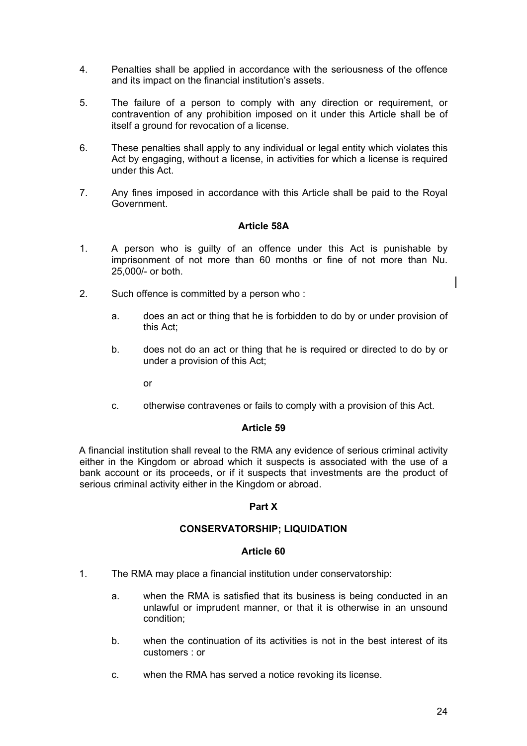- 4. Penalties shall be applied in accordance with the seriousness of the offence and its impact on the financial institution's assets.
- 5. The failure of a person to comply with any direction or requirement, or contravention of any prohibition imposed on it under this Article shall be of itself a ground for revocation of a license.
- 6. These penalties shall apply to any individual or legal entity which violates this Act by engaging, without a license, in activities for which a license is required under this Act.
- 7. Any fines imposed in accordance with this Article shall be paid to the Royal Government.

### **Article 58A**

- 1. A person who is guilty of an offence under this Act is punishable by imprisonment of not more than 60 months or fine of not more than Nu. 25,000/- or both.
- 2. Such offence is committed by a person who :
	- a. does an act or thing that he is forbidden to do by or under provision of this Act;
	- b. does not do an act or thing that he is required or directed to do by or under a provision of this Act;

or

c. otherwise contravenes or fails to comply with a provision of this Act.

#### **Article 59**

A financial institution shall reveal to the RMA any evidence of serious criminal activity either in the Kingdom or abroad which it suspects is associated with the use of a bank account or its proceeds, or if it suspects that investments are the product of serious criminal activity either in the Kingdom or abroad.

#### **Part X**

### **CONSERVATORSHIP; LIQUIDATION**

- 1. The RMA may place a financial institution under conservatorship:
	- a. when the RMA is satisfied that its business is being conducted in an unlawful or imprudent manner, or that it is otherwise in an unsound condition;
	- b. when the continuation of its activities is not in the best interest of its customers : or
	- c. when the RMA has served a notice revoking its license.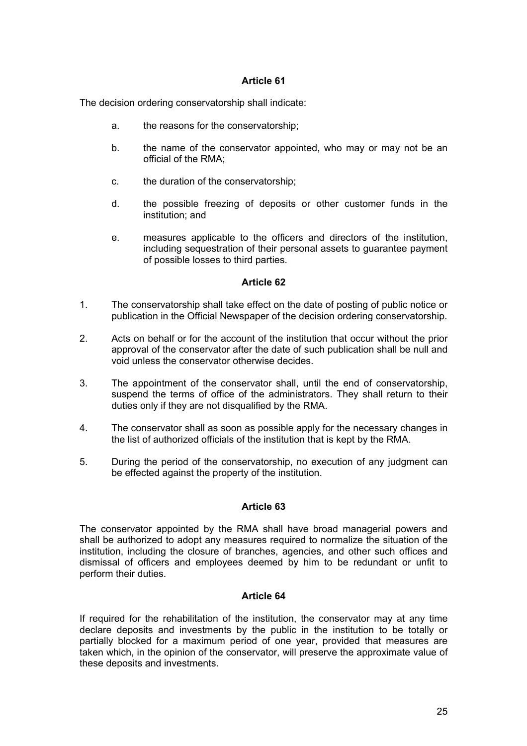The decision ordering conservatorship shall indicate:

- a. the reasons for the conservatorship;
- b. the name of the conservator appointed, who may or may not be an official of the RMA;
- c. the duration of the conservatorship;
- d. the possible freezing of deposits or other customer funds in the institution; and
- e. measures applicable to the officers and directors of the institution, including sequestration of their personal assets to guarantee payment of possible losses to third parties.

### **Article 62**

- 1. The conservatorship shall take effect on the date of posting of public notice or publication in the Official Newspaper of the decision ordering conservatorship.
- 2. Acts on behalf or for the account of the institution that occur without the prior approval of the conservator after the date of such publication shall be null and void unless the conservator otherwise decides.
- 3. The appointment of the conservator shall, until the end of conservatorship, suspend the terms of office of the administrators. They shall return to their duties only if they are not disqualified by the RMA.
- 4. The conservator shall as soon as possible apply for the necessary changes in the list of authorized officials of the institution that is kept by the RMA.
- 5. During the period of the conservatorship, no execution of any judgment can be effected against the property of the institution.

#### **Article 63**

The conservator appointed by the RMA shall have broad managerial powers and shall be authorized to adopt any measures required to normalize the situation of the institution, including the closure of branches, agencies, and other such offices and dismissal of officers and employees deemed by him to be redundant or unfit to perform their duties.

# **Article 64**

If required for the rehabilitation of the institution, the conservator may at any time declare deposits and investments by the public in the institution to be totally or partially blocked for a maximum period of one year, provided that measures are taken which, in the opinion of the conservator, will preserve the approximate value of these deposits and investments.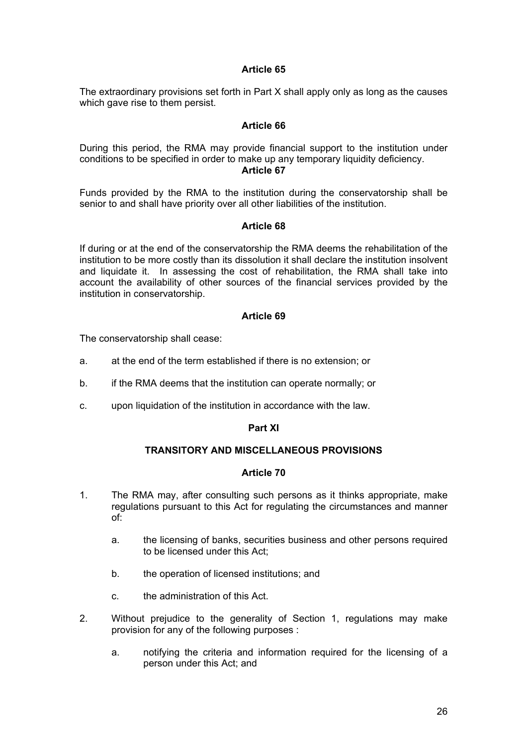The extraordinary provisions set forth in Part X shall apply only as long as the causes which gave rise to them persist.

### **Article 66**

During this period, the RMA may provide financial support to the institution under conditions to be specified in order to make up any temporary liquidity deficiency. **Article 67** 

Funds provided by the RMA to the institution during the conservatorship shall be senior to and shall have priority over all other liabilities of the institution.

### **Article 68**

If during or at the end of the conservatorship the RMA deems the rehabilitation of the institution to be more costly than its dissolution it shall declare the institution insolvent and liquidate it. In assessing the cost of rehabilitation, the RMA shall take into account the availability of other sources of the financial services provided by the institution in conservatorship.

### **Article 69**

The conservatorship shall cease:

- a. at the end of the term established if there is no extension; or
- b. if the RMA deems that the institution can operate normally; or
- c. upon liquidation of the institution in accordance with the law.

#### **Part XI**

### **TRANSITORY AND MISCELLANEOUS PROVISIONS**

- 1. The RMA may, after consulting such persons as it thinks appropriate, make regulations pursuant to this Act for regulating the circumstances and manner of:
	- a. the licensing of banks, securities business and other persons required to be licensed under this Act;
	- b. the operation of licensed institutions; and
	- c. the administration of this Act.
- 2. Without prejudice to the generality of Section 1, regulations may make provision for any of the following purposes :
	- a. notifying the criteria and information required for the licensing of a person under this Act; and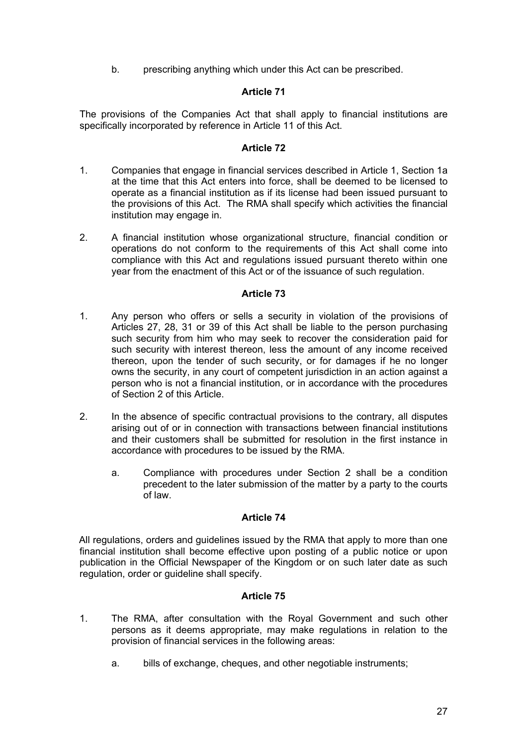b. prescribing anything which under this Act can be prescribed.

# **Article 71**

The provisions of the Companies Act that shall apply to financial institutions are specifically incorporated by reference in Article 11 of this Act.

### **Article 72**

- 1. Companies that engage in financial services described in Article 1, Section 1a at the time that this Act enters into force, shall be deemed to be licensed to operate as a financial institution as if its license had been issued pursuant to the provisions of this Act. The RMA shall specify which activities the financial institution may engage in.
- 2. A financial institution whose organizational structure, financial condition or operations do not conform to the requirements of this Act shall come into compliance with this Act and regulations issued pursuant thereto within one year from the enactment of this Act or of the issuance of such regulation.

# **Article 73**

- 1. Any person who offers or sells a security in violation of the provisions of Articles 27, 28, 31 or 39 of this Act shall be liable to the person purchasing such security from him who may seek to recover the consideration paid for such security with interest thereon, less the amount of any income received thereon, upon the tender of such security, or for damages if he no longer owns the security, in any court of competent jurisdiction in an action against a person who is not a financial institution, or in accordance with the procedures of Section 2 of this Article.
- 2. In the absence of specific contractual provisions to the contrary, all disputes arising out of or in connection with transactions between financial institutions and their customers shall be submitted for resolution in the first instance in accordance with procedures to be issued by the RMA.
	- a. Compliance with procedures under Section 2 shall be a condition precedent to the later submission of the matter by a party to the courts of law.

# **Article 74**

All regulations, orders and guidelines issued by the RMA that apply to more than one financial institution shall become effective upon posting of a public notice or upon publication in the Official Newspaper of the Kingdom or on such later date as such regulation, order or guideline shall specify.

- 1. The RMA, after consultation with the Royal Government and such other persons as it deems appropriate, may make regulations in relation to the provision of financial services in the following areas:
	- a. bills of exchange, cheques, and other negotiable instruments;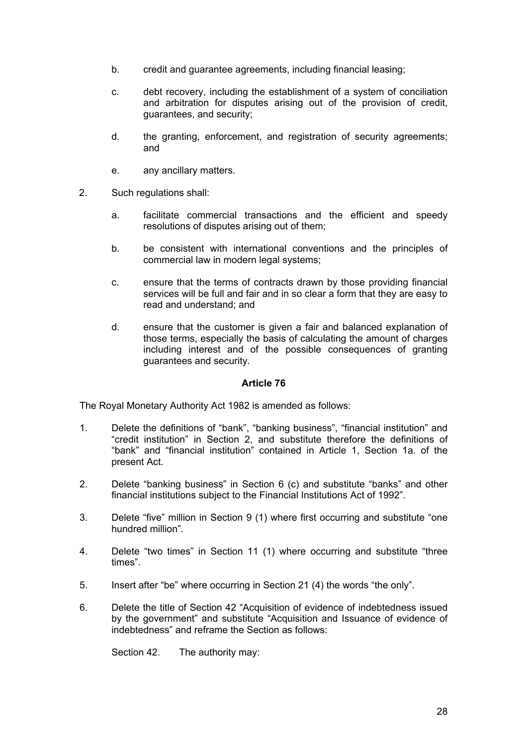- b. credit and guarantee agreements, including financial leasing;
- c. debt recovery, including the establishment of a system of conciliation and arbitration for disputes arising out of the provision of credit, guarantees, and security;
- d. the granting, enforcement, and registration of security agreements; and
- e. any ancillary matters.
- 2. Such regulations shall:
	- a. facilitate commercial transactions and the efficient and speedy resolutions of disputes arising out of them;
	- b. be consistent with international conventions and the principles of commercial law in modern legal systems;
	- c. ensure that the terms of contracts drawn by those providing financial services will be full and fair and in so clear a form that they are easy to read and understand; and
	- d. ensure that the customer is given a fair and balanced explanation of those terms, especially the basis of calculating the amount of charges including interest and of the possible consequences of granting guarantees and security.

The Royal Monetary Authority Act 1982 is amended as follows:

- 1. Delete the definitions of "bank", "banking business", "financial institution" and "credit institution" in Section 2, and substitute therefore the definitions of "bank" and "financial institution" contained in Article 1, Section 1a. of the present Act.
- 2. Delete "banking business" in Section 6 (c) and substitute "banks" and other financial institutions subject to the Financial Institutions Act of 1992".
- 3. Delete "five" million in Section 9 (1) where first occurring and substitute "one hundred million".
- 4. Delete "two times" in Section 11 (1) where occurring and substitute "three times".
- 5. Insert after "be" where occurring in Section 21 (4) the words "the only".
- 6. Delete the title of Section 42 "Acquisition of evidence of indebtedness issued by the government" and substitute "Acquisition and Issuance of evidence of indebtedness" and reframe the Section as follows:

Section 42. The authority may: